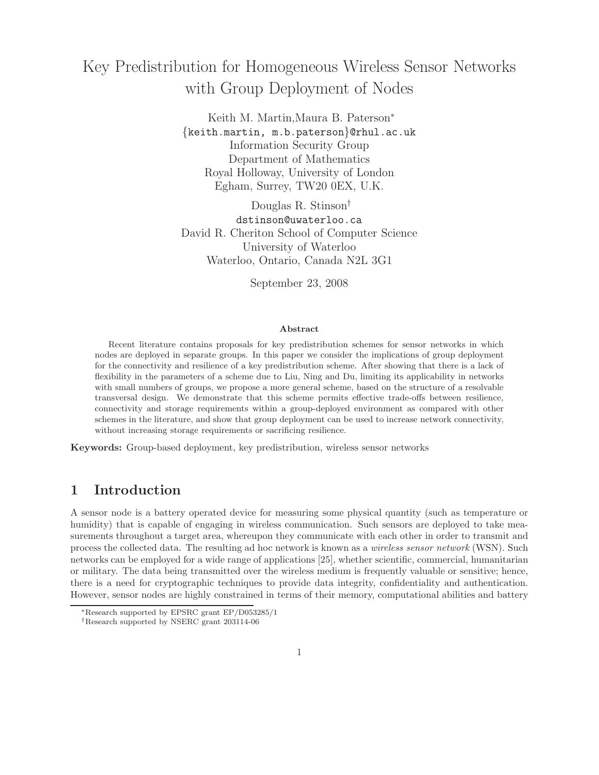# Key Predistribution for Homogeneous Wireless Sensor Networks with Group Deployment of Nodes

Keith M. Martin,Maura B. Paterson<sup>∗</sup> {keith.martin, m.b.paterson}@rhul.ac.uk Information Security Group Department of Mathematics Royal Holloway, University of London Egham, Surrey, TW20 0EX, U.K.

Douglas R. Stinson† dstinson@uwaterloo.ca David R. Cheriton School of Computer Science University of Waterloo Waterloo, Ontario, Canada N2L 3G1

September 23, 2008

### Abstract

Recent literature contains proposals for key predistribution schemes for sensor networks in which nodes are deployed in separate groups. In this paper we consider the implications of group deployment for the connectivity and resilience of a key predistribution scheme. After showing that there is a lack of flexibility in the parameters of a scheme due to Liu, Ning and Du, limiting its applicability in networks with small numbers of groups, we propose a more general scheme, based on the structure of a resolvable transversal design. We demonstrate that this scheme permits effective trade-offs between resilience, connectivity and storage requirements within a group-deployed environment as compared with other schemes in the literature, and show that group deployment can be used to increase network connectivity, without increasing storage requirements or sacrificing resilience.

Keywords: Group-based deployment, key predistribution, wireless sensor networks

## 1 Introduction

A sensor node is a battery operated device for measuring some physical quantity (such as temperature or humidity) that is capable of engaging in wireless communication. Such sensors are deployed to take measurements throughout a target area, whereupon they communicate with each other in order to transmit and process the collected data. The resulting ad hoc network is known as a wireless sensor network (WSN). Such networks can be employed for a wide range of applications [25], whether scientific, commercial, humanitarian or military. The data being transmitted over the wireless medium is frequently valuable or sensitive; hence, there is a need for cryptographic techniques to provide data integrity, confidentiality and authentication. However, sensor nodes are highly constrained in terms of their memory, computational abilities and battery

<sup>∗</sup>Research supported by EPSRC grant EP/D053285/1

<sup>†</sup>Research supported by NSERC grant 203114-06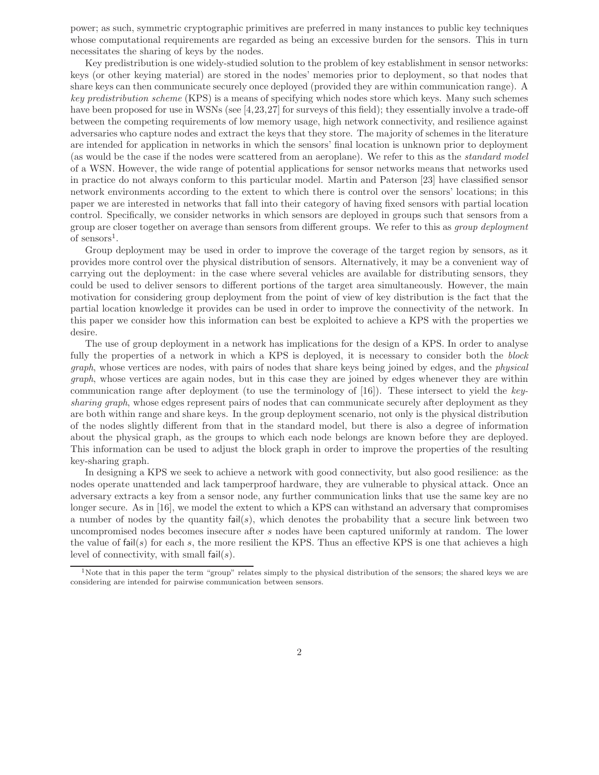power; as such, symmetric cryptographic primitives are preferred in many instances to public key techniques whose computational requirements are regarded as being an excessive burden for the sensors. This in turn necessitates the sharing of keys by the nodes.

Key predistribution is one widely-studied solution to the problem of key establishment in sensor networks: keys (or other keying material) are stored in the nodes' memories prior to deployment, so that nodes that share keys can then communicate securely once deployed (provided they are within communication range). A key predistribution scheme (KPS) is a means of specifying which nodes store which keys. Many such schemes have been proposed for use in WSNs (see [4,23,27] for surveys of this field); they essentially involve a trade-off between the competing requirements of low memory usage, high network connectivity, and resilience against adversaries who capture nodes and extract the keys that they store. The majority of schemes in the literature are intended for application in networks in which the sensors' final location is unknown prior to deployment (as would be the case if the nodes were scattered from an aeroplane). We refer to this as the standard model of a WSN. However, the wide range of potential applications for sensor networks means that networks used in practice do not always conform to this particular model. Martin and Paterson [23] have classified sensor network environments according to the extent to which there is control over the sensors' locations; in this paper we are interested in networks that fall into their category of having fixed sensors with partial location control. Specifically, we consider networks in which sensors are deployed in groups such that sensors from a group are closer together on average than sensors from different groups. We refer to this as group deployment of sensors<sup>1</sup>.

Group deployment may be used in order to improve the coverage of the target region by sensors, as it provides more control over the physical distribution of sensors. Alternatively, it may be a convenient way of carrying out the deployment: in the case where several vehicles are available for distributing sensors, they could be used to deliver sensors to different portions of the target area simultaneously. However, the main motivation for considering group deployment from the point of view of key distribution is the fact that the partial location knowledge it provides can be used in order to improve the connectivity of the network. In this paper we consider how this information can best be exploited to achieve a KPS with the properties we desire.

The use of group deployment in a network has implications for the design of a KPS. In order to analyse fully the properties of a network in which a KPS is deployed, it is necessary to consider both the block graph, whose vertices are nodes, with pairs of nodes that share keys being joined by edges, and the physical graph, whose vertices are again nodes, but in this case they are joined by edges whenever they are within communication range after deployment (to use the terminology of  $[16]$ ). These intersect to yield the keysharing graph, whose edges represent pairs of nodes that can communicate securely after deployment as they are both within range and share keys. In the group deployment scenario, not only is the physical distribution of the nodes slightly different from that in the standard model, but there is also a degree of information about the physical graph, as the groups to which each node belongs are known before they are deployed. This information can be used to adjust the block graph in order to improve the properties of the resulting key-sharing graph.

In designing a KPS we seek to achieve a network with good connectivity, but also good resilience: as the nodes operate unattended and lack tamperproof hardware, they are vulnerable to physical attack. Once an adversary extracts a key from a sensor node, any further communication links that use the same key are no longer secure. As in [16], we model the extent to which a KPS can withstand an adversary that compromises a number of nodes by the quantity fail(s), which denotes the probability that a secure link between two uncompromised nodes becomes insecure after s nodes have been captured uniformly at random. The lower the value of  $fail(s)$  for each s, the more resilient the KPS. Thus an effective KPS is one that achieves a high level of connectivity, with small fail $(s)$ .

<sup>&</sup>lt;sup>1</sup>Note that in this paper the term "group" relates simply to the physical distribution of the sensors; the shared keys we are considering are intended for pairwise communication between sensors.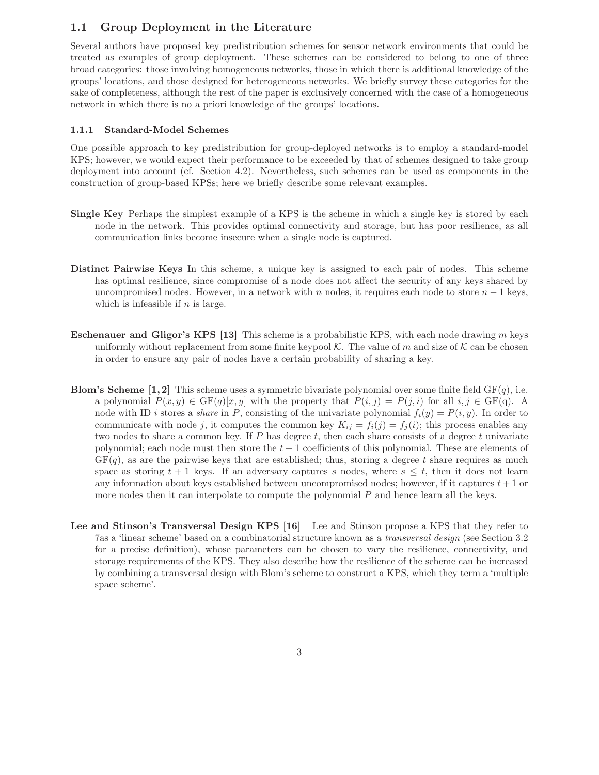## 1.1 Group Deployment in the Literature

Several authors have proposed key predistribution schemes for sensor network environments that could be treated as examples of group deployment. These schemes can be considered to belong to one of three broad categories: those involving homogeneous networks, those in which there is additional knowledge of the groups' locations, and those designed for heterogeneous networks. We briefly survey these categories for the sake of completeness, although the rest of the paper is exclusively concerned with the case of a homogeneous network in which there is no a priori knowledge of the groups' locations.

### 1.1.1 Standard-Model Schemes

One possible approach to key predistribution for group-deployed networks is to employ a standard-model KPS; however, we would expect their performance to be exceeded by that of schemes designed to take group deployment into account (cf. Section 4.2). Nevertheless, such schemes can be used as components in the construction of group-based KPSs; here we briefly describe some relevant examples.

- Single Key Perhaps the simplest example of a KPS is the scheme in which a single key is stored by each node in the network. This provides optimal connectivity and storage, but has poor resilience, as all communication links become insecure when a single node is captured.
- Distinct Pairwise Keys In this scheme, a unique key is assigned to each pair of nodes. This scheme has optimal resilience, since compromise of a node does not affect the security of any keys shared by uncompromised nodes. However, in a network with n nodes, it requires each node to store  $n-1$  keys, which is infeasible if  $n$  is large.
- **Eschenauer and Gligor's KPS** [13] This scheme is a probabilistic KPS, with each node drawing m keys uniformly without replacement from some finite keypool  $K$ . The value of m and size of K can be chosen in order to ensure any pair of nodes have a certain probability of sharing a key.
- **Blom's Scheme [1, 2]** This scheme uses a symmetric bivariate polynomial over some finite field  $GF(q)$ , i.e. a polynomial  $P(x, y) \in \mathrm{GF}(q)[x, y]$  with the property that  $P(i, j) = P(j, i)$  for all  $i, j \in \mathrm{GF}(q)$ . A node with ID i stores a *share* in P, consisting of the univariate polynomial  $f_i(y) = P(i, y)$ . In order to communicate with node j, it computes the common key  $K_{ij} = f_i(j) = f_j(i)$ ; this process enables any two nodes to share a common key. If  $P$  has degree  $t$ , then each share consists of a degree  $t$  univariate polynomial; each node must then store the  $t + 1$  coefficients of this polynomial. These are elements of  $GF(q)$ , as are the pairwise keys that are established; thus, storing a degree t share requires as much space as storing  $t + 1$  keys. If an adversary captures s nodes, where  $s \leq t$ , then it does not learn any information about keys established between uncompromised nodes; however, if it captures  $t + 1$  or more nodes then it can interpolate to compute the polynomial P and hence learn all the keys.
- Lee and Stinson's Transversal Design KPS [16] Lee and Stinson propose a KPS that they refer to 7as a 'linear scheme' based on a combinatorial structure known as a transversal design (see Section 3.2 for a precise definition), whose parameters can be chosen to vary the resilience, connectivity, and storage requirements of the KPS. They also describe how the resilience of the scheme can be increased by combining a transversal design with Blom's scheme to construct a KPS, which they term a 'multiple space scheme'.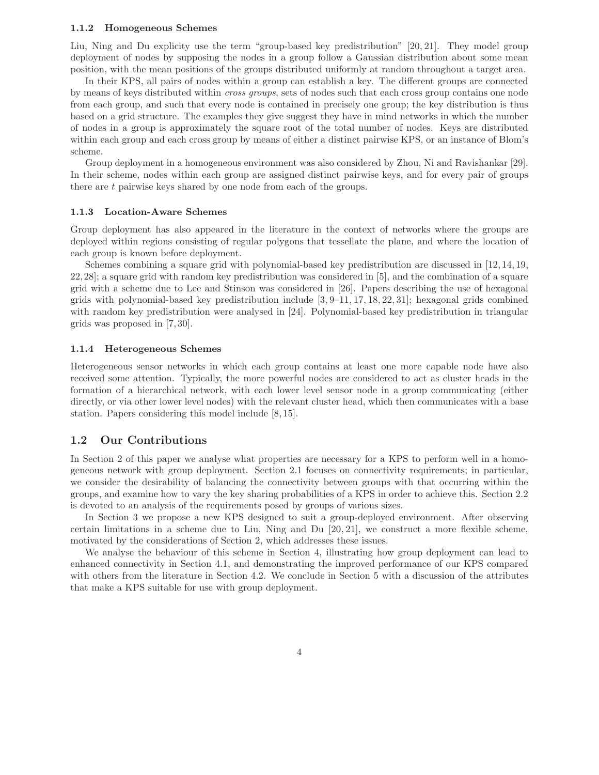#### 1.1.2 Homogeneous Schemes

Liu, Ning and Du explicity use the term "group-based key predistribution" [20, 21]. They model group deployment of nodes by supposing the nodes in a group follow a Gaussian distribution about some mean position, with the mean positions of the groups distributed uniformly at random throughout a target area.

In their KPS, all pairs of nodes within a group can establish a key. The different groups are connected by means of keys distributed within cross groups, sets of nodes such that each cross group contains one node from each group, and such that every node is contained in precisely one group; the key distribution is thus based on a grid structure. The examples they give suggest they have in mind networks in which the number of nodes in a group is approximately the square root of the total number of nodes. Keys are distributed within each group and each cross group by means of either a distinct pairwise KPS, or an instance of Blom's scheme.

Group deployment in a homogeneous environment was also considered by Zhou, Ni and Ravishankar [29]. In their scheme, nodes within each group are assigned distinct pairwise keys, and for every pair of groups there are t pairwise keys shared by one node from each of the groups.

#### 1.1.3 Location-Aware Schemes

Group deployment has also appeared in the literature in the context of networks where the groups are deployed within regions consisting of regular polygons that tessellate the plane, and where the location of each group is known before deployment.

Schemes combining a square grid with polynomial-based key predistribution are discussed in [12, 14, 19, 22,28]; a square grid with random key predistribution was considered in [5], and the combination of a square grid with a scheme due to Lee and Stinson was considered in [26]. Papers describing the use of hexagonal grids with polynomial-based key predistribution include  $[3, 9-11, 17, 18, 22, 31]$ ; hexagonal grids combined with random key predistribution were analysed in [24]. Polynomial-based key predistribution in triangular grids was proposed in [7, 30].

### 1.1.4 Heterogeneous Schemes

Heterogeneous sensor networks in which each group contains at least one more capable node have also received some attention. Typically, the more powerful nodes are considered to act as cluster heads in the formation of a hierarchical network, with each lower level sensor node in a group communicating (either directly, or via other lower level nodes) with the relevant cluster head, which then communicates with a base station. Papers considering this model include [8, 15].

### 1.2 Our Contributions

In Section 2 of this paper we analyse what properties are necessary for a KPS to perform well in a homogeneous network with group deployment. Section 2.1 focuses on connectivity requirements; in particular, we consider the desirability of balancing the connectivity between groups with that occurring within the groups, and examine how to vary the key sharing probabilities of a KPS in order to achieve this. Section 2.2 is devoted to an analysis of the requirements posed by groups of various sizes.

In Section 3 we propose a new KPS designed to suit a group-deployed environment. After observing certain limitations in a scheme due to Liu, Ning and Du [20, 21], we construct a more flexible scheme, motivated by the considerations of Section 2, which addresses these issues.

We analyse the behaviour of this scheme in Section 4, illustrating how group deployment can lead to enhanced connectivity in Section 4.1, and demonstrating the improved performance of our KPS compared with others from the literature in Section 4.2. We conclude in Section 5 with a discussion of the attributes that make a KPS suitable for use with group deployment.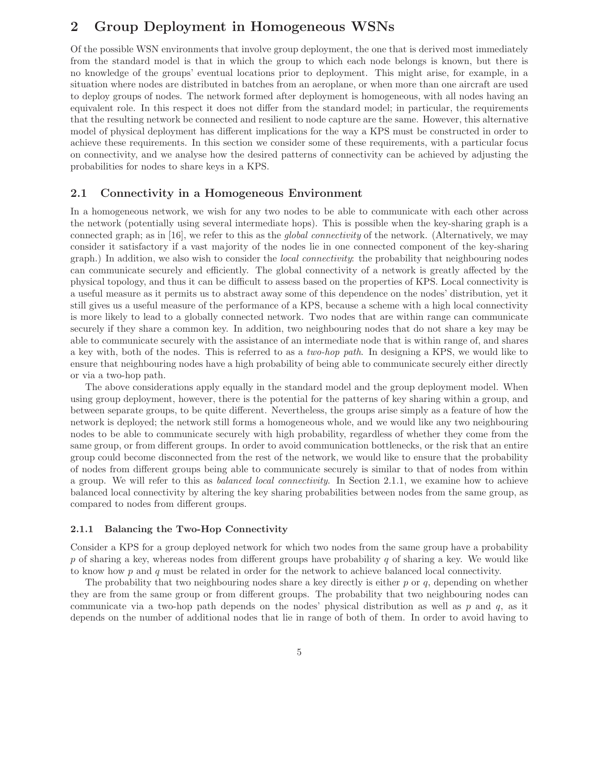## 2 Group Deployment in Homogeneous WSNs

Of the possible WSN environments that involve group deployment, the one that is derived most immediately from the standard model is that in which the group to which each node belongs is known, but there is no knowledge of the groups' eventual locations prior to deployment. This might arise, for example, in a situation where nodes are distributed in batches from an aeroplane, or when more than one aircraft are used to deploy groups of nodes. The network formed after deployment is homogeneous, with all nodes having an equivalent role. In this respect it does not differ from the standard model; in particular, the requirements that the resulting network be connected and resilient to node capture are the same. However, this alternative model of physical deployment has different implications for the way a KPS must be constructed in order to achieve these requirements. In this section we consider some of these requirements, with a particular focus on connectivity, and we analyse how the desired patterns of connectivity can be achieved by adjusting the probabilities for nodes to share keys in a KPS.

## 2.1 Connectivity in a Homogeneous Environment

In a homogeneous network, we wish for any two nodes to be able to communicate with each other across the network (potentially using several intermediate hops). This is possible when the key-sharing graph is a connected graph; as in [16], we refer to this as the global connectivity of the network. (Alternatively, we may consider it satisfactory if a vast majority of the nodes lie in one connected component of the key-sharing graph.) In addition, we also wish to consider the local connectivity: the probability that neighbouring nodes can communicate securely and efficiently. The global connectivity of a network is greatly affected by the physical topology, and thus it can be difficult to assess based on the properties of KPS. Local connectivity is a useful measure as it permits us to abstract away some of this dependence on the nodes' distribution, yet it still gives us a useful measure of the performance of a KPS, because a scheme with a high local connectivity is more likely to lead to a globally connected network. Two nodes that are within range can communicate securely if they share a common key. In addition, two neighbouring nodes that do not share a key may be able to communicate securely with the assistance of an intermediate node that is within range of, and shares a key with, both of the nodes. This is referred to as a two-hop path. In designing a KPS, we would like to ensure that neighbouring nodes have a high probability of being able to communicate securely either directly or via a two-hop path.

The above considerations apply equally in the standard model and the group deployment model. When using group deployment, however, there is the potential for the patterns of key sharing within a group, and between separate groups, to be quite different. Nevertheless, the groups arise simply as a feature of how the network is deployed; the network still forms a homogeneous whole, and we would like any two neighbouring nodes to be able to communicate securely with high probability, regardless of whether they come from the same group, or from different groups. In order to avoid communication bottlenecks, or the risk that an entire group could become disconnected from the rest of the network, we would like to ensure that the probability of nodes from different groups being able to communicate securely is similar to that of nodes from within a group. We will refer to this as balanced local connectivity. In Section 2.1.1, we examine how to achieve balanced local connectivity by altering the key sharing probabilities between nodes from the same group, as compared to nodes from different groups.

#### 2.1.1 Balancing the Two-Hop Connectivity

Consider a KPS for a group deployed network for which two nodes from the same group have a probability  $p$  of sharing a key, whereas nodes from different groups have probability  $q$  of sharing a key. We would like to know how  $p$  and  $q$  must be related in order for the network to achieve balanced local connectivity.

The probability that two neighbouring nodes share a key directly is either  $p$  or  $q$ , depending on whether they are from the same group or from different groups. The probability that two neighbouring nodes can communicate via a two-hop path depends on the nodes' physical distribution as well as  $p$  and  $q$ , as it depends on the number of additional nodes that lie in range of both of them. In order to avoid having to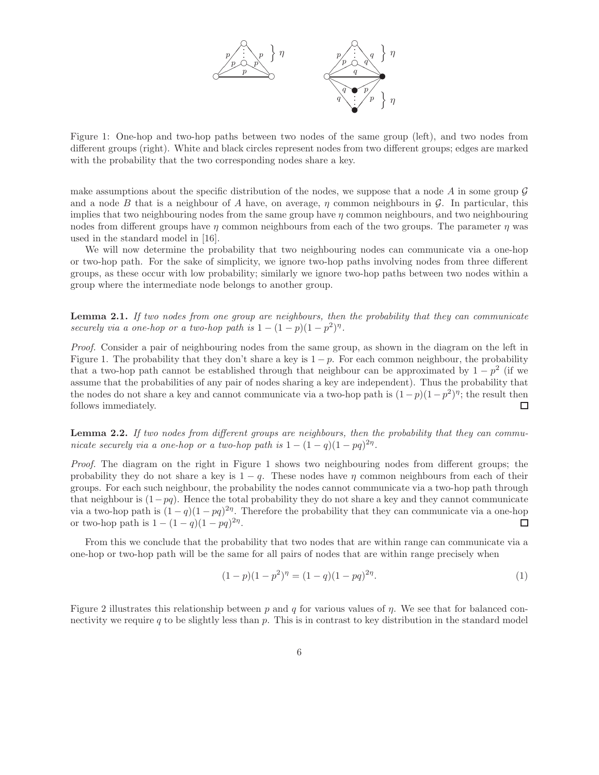

Figure 1: One-hop and two-hop paths between two nodes of the same group (left), and two nodes from different groups (right). White and black circles represent nodes from two different groups; edges are marked with the probability that the two corresponding nodes share a key.

make assumptions about the specific distribution of the nodes, we suppose that a node A in some group  $\mathcal G$ and a node B that is a neighbour of A have, on average,  $\eta$  common neighbours in G. In particular, this implies that two neighbouring nodes from the same group have  $\eta$  common neighbours, and two neighbouring nodes from different groups have  $\eta$  common neighbours from each of the two groups. The parameter  $\eta$  was used in the standard model in [16].

We will now determine the probability that two neighbouring nodes can communicate via a one-hop or two-hop path. For the sake of simplicity, we ignore two-hop paths involving nodes from three different groups, as these occur with low probability; similarly we ignore two-hop paths between two nodes within a group where the intermediate node belongs to another group.

Lemma 2.1. If two nodes from one group are neighbours, then the probability that they can communicate securely via a one-hop or a two-hop path is  $1 - (1 - p)(1 - p^2)^{\eta}$ .

Proof. Consider a pair of neighbouring nodes from the same group, as shown in the diagram on the left in Figure 1. The probability that they don't share a key is  $1 - p$ . For each common neighbour, the probability that a two-hop path cannot be established through that neighbour can be approximated by  $1 - p^2$  (if we assume that the probabilities of any pair of nodes sharing a key are independent). Thus the probability that the nodes do not share a key and cannot communicate via a two-hop path is  $(1-p)(1-p^2)^{\eta}$ ; the result then follows immediately.  $\Box$ 

Lemma 2.2. If two nodes from different groups are neighbours, then the probability that they can communicate securely via a one-hop or a two-hop path is  $1 - (1 - q)(1 - pq)^{2\eta}$ .

Proof. The diagram on the right in Figure 1 shows two neighbouring nodes from different groups; the probability they do not share a key is  $1 - q$ . These nodes have  $\eta$  common neighbours from each of their groups. For each such neighbour, the probability the nodes cannot communicate via a two-hop path through that neighbour is  $(1-pq)$ . Hence the total probability they do not share a key and they cannot communicate via a two-hop path is  $(1 - q)(1 - pq)^{2\eta}$ . Therefore the probability that they can communicate via a one-hop or two-hop path is  $1 - (1 - q)(1 - pq)^{2\eta}$ . П

From this we conclude that the probability that two nodes that are within range can communicate via a one-hop or two-hop path will be the same for all pairs of nodes that are within range precisely when

$$
(1-p)(1-p^2)^{\eta} = (1-q)(1-pq)^{2\eta}.
$$
\n(1)

Figure 2 illustrates this relationship between p and q for various values of  $\eta$ . We see that for balanced connectivity we require  $q$  to be slightly less than  $p$ . This is in contrast to key distribution in the standard model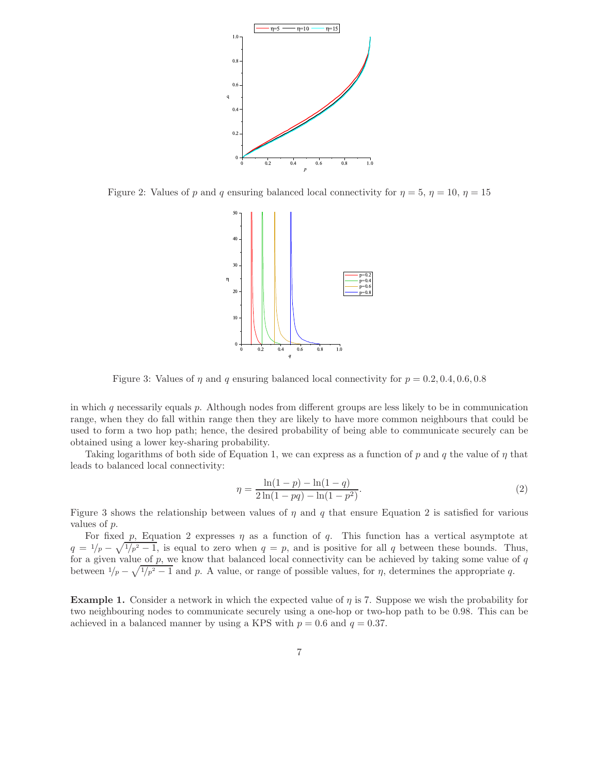

Figure 2: Values of p and q ensuring balanced local connectivity for  $\eta = 5$ ,  $\eta = 10$ ,  $\eta = 15$ 



Figure 3: Values of  $\eta$  and  $q$  ensuring balanced local connectivity for  $p = 0.2, 0.4, 0.6, 0.8$ 

in which q necessarily equals p. Although nodes from different groups are less likely to be in communication range, when they do fall within range then they are likely to have more common neighbours that could be used to form a two hop path; hence, the desired probability of being able to communicate securely can be obtained using a lower key-sharing probability.

Taking logarithms of both side of Equation 1, we can express as a function of p and q the value of  $\eta$  that leads to balanced local connectivity:

$$
\eta = \frac{\ln(1-p) - \ln(1-q)}{2\ln(1-pq) - \ln(1-p^2)}.
$$
\n(2)

Figure 3 shows the relationship between values of  $\eta$  and q that ensure Equation 2 is satisfied for various values of p.

For fixed p, Equation 2 expresses  $\eta$  as a function of q. This function has a vertical asymptote at  $q = 1/p - \sqrt{1/p^2 - 1}$ , is equal to zero when  $q = p$ , and is positive for all q between these bounds. Thus, for a given value of  $p$ , we know that balanced local connectivity can be achieved by taking some value of  $q$ between  $1/p - \sqrt{1/p^2 - 1}$  and p. A value, or range of possible values, for  $\eta$ , determines the appropriate q.

**Example 1.** Consider a network in which the expected value of  $\eta$  is 7. Suppose we wish the probability for two neighbouring nodes to communicate securely using a one-hop or two-hop path to be 0.98. This can be achieved in a balanced manner by using a KPS with  $p = 0.6$  and  $q = 0.37$ .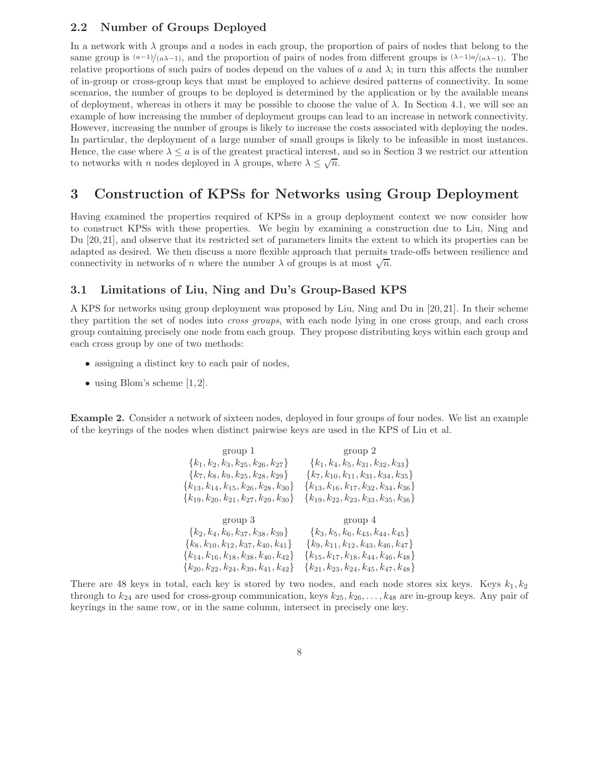## 2.2 Number of Groups Deployed

In a network with  $\lambda$  groups and a nodes in each group, the proportion of pairs of nodes that belong to the same group is  $\frac{a-1}{a\lambda-1}$ , and the proportion of pairs of nodes from different groups is  $\frac{(\lambda-1)a}{a\lambda-1}$ . The relative proportions of such pairs of nodes depend on the values of a and  $\lambda$ ; in turn this affects the number of in-group or cross-group keys that must be employed to achieve desired patterns of connectivity. In some scenarios, the number of groups to be deployed is determined by the application or by the available means of deployment, whereas in others it may be possible to choose the value of  $\lambda$ . In Section 4.1, we will see an example of how increasing the number of deployment groups can lead to an increase in network connectivity. However, increasing the number of groups is likely to increase the costs associated with deploying the nodes. In particular, the deployment of a large number of small groups is likely to be infeasible in most instances. Hence, the case where  $\lambda \leq a$  is of the greatest practical interest, and so in Section 3 we restrict our attention to networks with *n* nodes deployed in  $\lambda$  groups, where  $\lambda \leq \sqrt{n}$ .

## 3 Construction of KPSs for Networks using Group Deployment

Having examined the properties required of KPSs in a group deployment context we now consider how to construct KPSs with these properties. We begin by examining a construction due to Liu, Ning and Du [20, 21], and observe that its restricted set of parameters limits the extent to which its properties can be adapted as desired. We then discuss a more flexible approach that permits trade-offs between resilience and connectivity in networks of *n* where the number  $\lambda$  of groups is at most  $\sqrt{n}$ .

## 3.1 Limitations of Liu, Ning and Du's Group-Based KPS

A KPS for networks using group deployment was proposed by Liu, Ning and Du in [20, 21]. In their scheme they partition the set of nodes into cross groups, with each node lying in one cross group, and each cross group containing precisely one node from each group. They propose distributing keys within each group and each cross group by one of two methods:

- assigning a distinct key to each pair of nodes,
- using Blom's scheme  $[1, 2]$ .

Example 2. Consider a network of sixteen nodes, deployed in four groups of four nodes. We list an example of the keyrings of the nodes when distinct pairwise keys are used in the KPS of Liu et al.

| $\gamma$ group 1                                   | $\gamma$ group 2                                     |
|----------------------------------------------------|------------------------------------------------------|
| ${k_1, k_2, k_3, k_{25}, k_{26}, k_{27}}$          | ${k_1, k_4, k_5, k_{31}, k_{32}, k_{33}}$            |
| ${k_7, k_8, k_9, k_{25}, k_{28}, k_{29}}$          | $\{k_7, k_{10}, k_{11}, k_{31}, k_{34}, k_{35}\}$    |
| ${k_{13}, k_{14}, k_{15}, k_{26}, k_{28}, k_{30}}$ | $\{k_{13}, k_{16}, k_{17}, k_{32}, k_{34}, k_{36}\}$ |
| ${k_{19}, k_{20}, k_{21}, k_{27}, k_{29}, k_{30}}$ | $\{k_{19}, k_{22}, k_{23}, k_{33}, k_{35}, k_{36}\}$ |
|                                                    |                                                      |
|                                                    |                                                      |
| group 3                                            | group 4                                              |
| ${k_2, k_4, k_6, k_{37}, k_{38}, k_{39}}$          | $\{k_3, k_5, k_6, k_{43}, k_{44}, k_{45}\}$          |
| ${k_8, k_{10}, k_{12}, k_{37}, k_{40}, k_{41}}$    | $\{k_9, k_{11}, k_{12}, k_{43}, k_{46}, k_{47}\}$    |
| ${k_{14}, k_{16}, k_{18}, k_{38}, k_{40}, k_{42}}$ | ${k_{15}, k_{17}, k_{18}, k_{44}, k_{46}, k_{48}}$   |

There are 48 keys in total, each key is stored by two nodes, and each node stores six keys. Keys  $k_1, k_2$ through to  $k_{24}$  are used for cross-group communication, keys  $k_{25}, k_{26}, \ldots, k_{48}$  are in-group keys. Any pair of keyrings in the same row, or in the same column, intersect in precisely one key.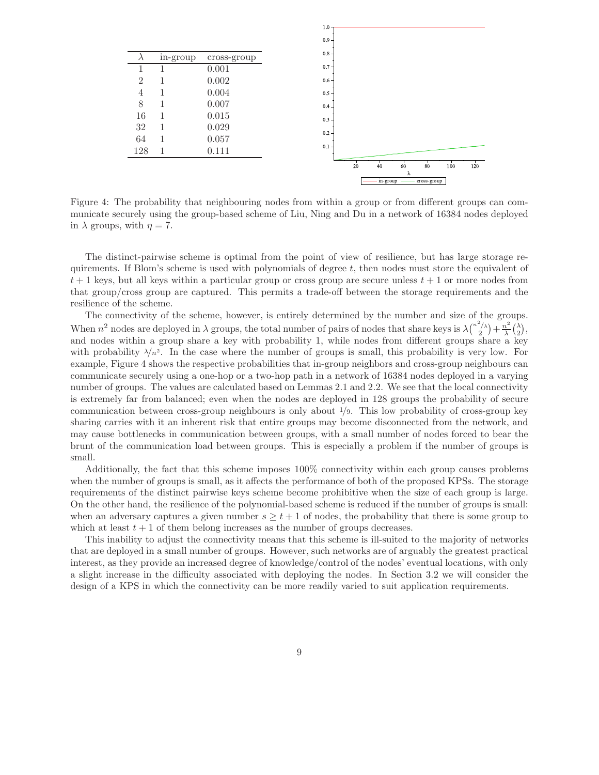

Figure 4: The probability that neighbouring nodes from within a group or from different groups can communicate securely using the group-based scheme of Liu, Ning and Du in a network of 16384 nodes deployed in  $\lambda$  groups, with  $\eta = 7$ .

The distinct-pairwise scheme is optimal from the point of view of resilience, but has large storage requirements. If Blom's scheme is used with polynomials of degree  $t$ , then nodes must store the equivalent of  $t + 1$  keys, but all keys within a particular group or cross group are secure unless  $t + 1$  or more nodes from that group/cross group are captured. This permits a trade-off between the storage requirements and the resilience of the scheme.

The connectivity of the scheme, however, is entirely determined by the number and size of the groups. When  $n^2$  nodes are deployed in  $\lambda$  groups, the total number of pairs of nodes that share keys is  $\lambda {n^2/\lambda \choose 2} + \frac{n^2}{\lambda}$  $\frac{\imath^2}{\lambda} \binom{\lambda}{2},$ and nodes within a group share a key with probability 1, while nodes from different groups share a key with probability  $\lambda/n^2$ . In the case where the number of groups is small, this probability is very low. For example, Figure 4 shows the respective probabilities that in-group neighbors and cross-group neighbours can communicate securely using a one-hop or a two-hop path in a network of 16384 nodes deployed in a varying number of groups. The values are calculated based on Lemmas 2.1 and 2.2. We see that the local connectivity is extremely far from balanced; even when the nodes are deployed in 128 groups the probability of secure communication between cross-group neighbours is only about <sup>1</sup>/9. This low probability of cross-group key sharing carries with it an inherent risk that entire groups may become disconnected from the network, and may cause bottlenecks in communication between groups, with a small number of nodes forced to bear the brunt of the communication load between groups. This is especially a problem if the number of groups is small.

Additionally, the fact that this scheme imposes 100% connectivity within each group causes problems when the number of groups is small, as it affects the performance of both of the proposed KPSs. The storage requirements of the distinct pairwise keys scheme become prohibitive when the size of each group is large. On the other hand, the resilience of the polynomial-based scheme is reduced if the number of groups is small: when an adversary captures a given number  $s \geq t + 1$  of nodes, the probability that there is some group to which at least  $t + 1$  of them belong increases as the number of groups decreases.

This inability to adjust the connectivity means that this scheme is ill-suited to the majority of networks that are deployed in a small number of groups. However, such networks are of arguably the greatest practical interest, as they provide an increased degree of knowledge/control of the nodes' eventual locations, with only a slight increase in the difficulty associated with deploying the nodes. In Section 3.2 we will consider the design of a KPS in which the connectivity can be more readily varied to suit application requirements.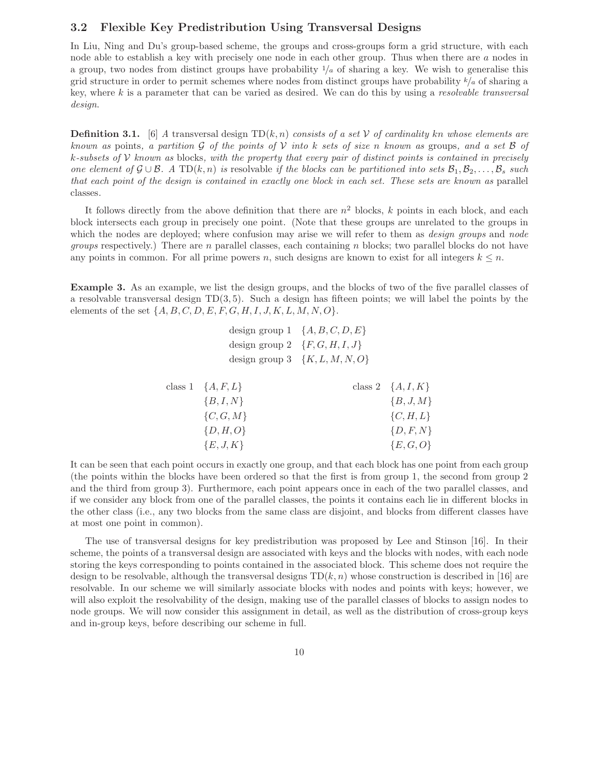## 3.2 Flexible Key Predistribution Using Transversal Designs

In Liu, Ning and Du's group-based scheme, the groups and cross-groups form a grid structure, with each node able to establish a key with precisely one node in each other group. Thus when there are a nodes in a group, two nodes from distinct groups have probability  $1/a$  of sharing a key. We wish to generalise this grid structure in order to permit schemes where nodes from distinct groups have probability  $k/a$  of sharing a key, where  $k$  is a parameter that can be varied as desired. We can do this by using a resolvable transversal design.

**Definition 3.1.** [6] A transversal design TD(k, n) consists of a set V of cardinality kn whose elements are known as points, a partition  $\mathcal G$  of the points of  $\mathcal V$  into k sets of size n known as groups, and a set  $\mathcal B$  of k-subsets of  $V$  known as blocks, with the property that every pair of distinct points is contained in precisely one element of  $\mathcal{G} \cup \mathcal{B}$ . A TD $(k, n)$  is resolvable if the blocks can be partitioned into sets  $\mathcal{B}_1, \mathcal{B}_2, \ldots, \mathcal{B}_s$  such that each point of the design is contained in exactly one block in each set. These sets are known as parallel classes.

It follows directly from the above definition that there are  $n^2$  blocks, k points in each block, and each block intersects each group in precisely one point. (Note that these groups are unrelated to the groups in which the nodes are deployed; where confusion may arise we will refer to them as *design groups* and *node* groups respectively.) There are n parallel classes, each containing n blocks; two parallel blocks do not have any points in common. For all prime powers n, such designs are known to exist for all integers  $k \leq n$ .

Example 3. As an example, we list the design groups, and the blocks of two of the five parallel classes of a resolvable transversal design  $TD(3, 5)$ . Such a design has fifteen points; we will label the points by the elements of the set  $\{A, B, C, D, E, F, G, H, I, J, K, L, M, N, O\}.$ 

> design group  $1 \{A, B, C, D, E\}$ design group 2  $\{F, G, H, I, J\}$ design group 3  $\{K, L, M, N, O\}$

| class 1 $\{A, F, L\}$ | class 2 $\{A, I, K\}$ |
|-----------------------|-----------------------|
| $\{B,I,N\}$           | ${B, J, M}$           |
| $\{C,G,M\}$           | $\{C, H, L\}$         |
| $\{D, H, O\}$         | $\{D, F, N\}$         |
| ${E, J, K}$           | $\{E,G,O\}$           |

It can be seen that each point occurs in exactly one group, and that each block has one point from each group (the points within the blocks have been ordered so that the first is from group 1, the second from group 2 and the third from group 3). Furthermore, each point appears once in each of the two parallel classes, and if we consider any block from one of the parallel classes, the points it contains each lie in different blocks in the other class (i.e., any two blocks from the same class are disjoint, and blocks from different classes have at most one point in common).

The use of transversal designs for key predistribution was proposed by Lee and Stinson [16]. In their scheme, the points of a transversal design are associated with keys and the blocks with nodes, with each node storing the keys corresponding to points contained in the associated block. This scheme does not require the design to be resolvable, although the transversal designs  $TD(k, n)$  whose construction is described in [16] are resolvable. In our scheme we will similarly associate blocks with nodes and points with keys; however, we will also exploit the resolvability of the design, making use of the parallel classes of blocks to assign nodes to node groups. We will now consider this assignment in detail, as well as the distribution of cross-group keys and in-group keys, before describing our scheme in full.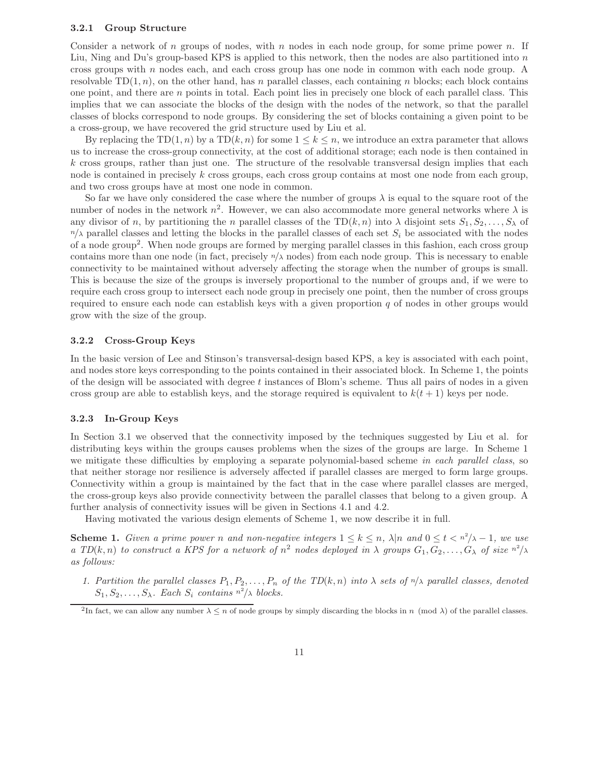### 3.2.1 Group Structure

Consider a network of n groups of nodes, with n nodes in each node group, for some prime power n. If Liu, Ning and Du's group-based KPS is applied to this network, then the nodes are also partitioned into  $n$ cross groups with  $n$  nodes each, and each cross group has one node in common with each node group. A resolvable  $TD(1, n)$ , on the other hand, has n parallel classes, each containing n blocks; each block contains one point, and there are n points in total. Each point lies in precisely one block of each parallel class. This implies that we can associate the blocks of the design with the nodes of the network, so that the parallel classes of blocks correspond to node groups. By considering the set of blocks containing a given point to be a cross-group, we have recovered the grid structure used by Liu et al.

By replacing the TD(1, n) by a TD(k, n) for some  $1 \leq k \leq n$ , we introduce an extra parameter that allows us to increase the cross-group connectivity, at the cost of additional storage; each node is then contained in k cross groups, rather than just one. The structure of the resolvable transversal design implies that each node is contained in precisely k cross groups, each cross group contains at most one node from each group, and two cross groups have at most one node in common.

So far we have only considered the case where the number of groups  $\lambda$  is equal to the square root of the number of nodes in the network  $n^2$ . However, we can also accommodate more general networks where  $\lambda$  is any divisor of n, by partitioning the n parallel classes of the TD(k, n) into  $\lambda$  disjoint sets  $S_1, S_2, \ldots, S_\lambda$  of  $n/\lambda$  parallel classes and letting the blocks in the parallel classes of each set  $S_i$  be associated with the nodes of a node group<sup>2</sup>. When node groups are formed by merging parallel classes in this fashion, each cross group contains more than one node (in fact, precisely  $\eta/\lambda$  nodes) from each node group. This is necessary to enable connectivity to be maintained without adversely affecting the storage when the number of groups is small. This is because the size of the groups is inversely proportional to the number of groups and, if we were to require each cross group to intersect each node group in precisely one point, then the number of cross groups required to ensure each node can establish keys with a given proportion  $q$  of nodes in other groups would grow with the size of the group.

#### 3.2.2 Cross-Group Keys

In the basic version of Lee and Stinson's transversal-design based KPS, a key is associated with each point, and nodes store keys corresponding to the points contained in their associated block. In Scheme 1, the points of the design will be associated with degree  $t$  instances of Blom's scheme. Thus all pairs of nodes in a given cross group are able to establish keys, and the storage required is equivalent to  $k(t + 1)$  keys per node.

### 3.2.3 In-Group Keys

In Section 3.1 we observed that the connectivity imposed by the techniques suggested by Liu et al. for distributing keys within the groups causes problems when the sizes of the groups are large. In Scheme 1 we mitigate these difficulties by employing a separate polynomial-based scheme in each parallel class, so that neither storage nor resilience is adversely affected if parallel classes are merged to form large groups. Connectivity within a group is maintained by the fact that in the case where parallel classes are merged, the cross-group keys also provide connectivity between the parallel classes that belong to a given group. A further analysis of connectivity issues will be given in Sections 4.1 and 4.2.

Having motivated the various design elements of Scheme 1, we now describe it in full.

**Scheme 1.** Given a prime power n and non-negative integers  $1 \leq k \leq n$ ,  $\lambda |n$  and  $0 \leq t < \frac{n^2}{\lambda} - 1$ , we use a TD(k, n) to construct a KPS for a network of  $n^2$  nodes deployed in  $\lambda$  groups  $G_1, G_2, \ldots, G_\lambda$  of size  $n^2/\lambda$ as follows:

1. Partition the parallel classes  $P_1, P_2, \ldots, P_n$  of the TD(k, n) into  $\lambda$  sets of  $\eta/\lambda$  parallel classes, denoted  $S_1, S_2, \ldots, S_{\lambda}$ . Each  $S_i$  contains  $n^2/\lambda$  blocks.

<sup>&</sup>lt;sup>2</sup>In fact, we can allow any number  $\lambda \leq n$  of node groups by simply discarding the blocks in n (mod  $\lambda$ ) of the parallel classes.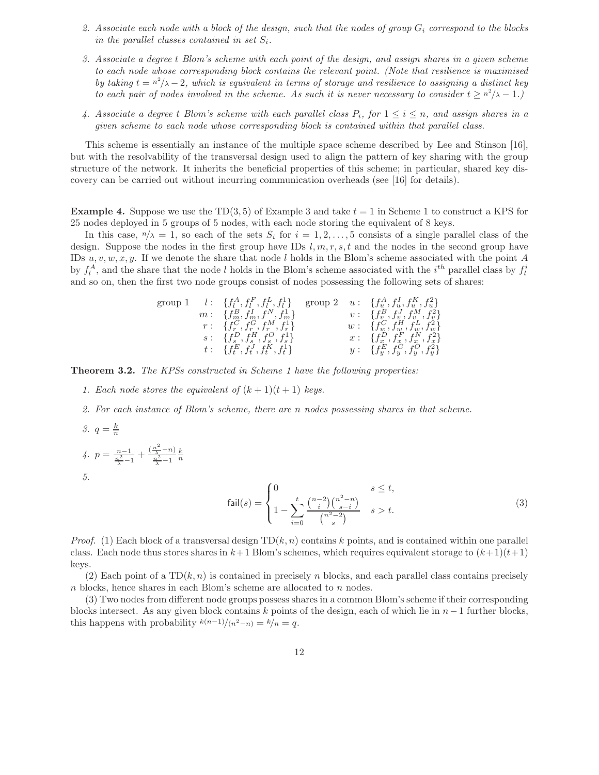- 2. Associate each node with a block of the design, such that the nodes of group  $G_i$  correspond to the blocks in the parallel classes contained in set  $S_i$ .
- 3. Associate a degree t Blom's scheme with each point of the design, and assign shares in a given scheme to each node whose corresponding block contains the relevant point. (Note that resilience is maximised by taking  $t = \frac{n^2}{\lambda} - 2$ , which is equivalent in terms of storage and resilience to assigning a distinct key to each pair of nodes involved in the scheme. As such it is never necessary to consider  $t \geq n^2/\lambda - 1$ .)
- 4. Associate a degree t Blom's scheme with each parallel class  $P_i$ , for  $1 \leq i \leq n$ , and assign shares in a given scheme to each node whose corresponding block is contained within that parallel class.

This scheme is essentially an instance of the multiple space scheme described by Lee and Stinson [16], but with the resolvability of the transversal design used to align the pattern of key sharing with the group structure of the network. It inherits the beneficial properties of this scheme; in particular, shared key discovery can be carried out without incurring communication overheads (see [16] for details).

**Example 4.** Suppose we use the TD(3, 5) of Example 3 and take  $t = 1$  in Scheme 1 to construct a KPS for 25 nodes deployed in 5 groups of 5 nodes, with each node storing the equivalent of 8 keys.

In this case,  $n/\lambda = 1$ , so each of the sets  $S_i$  for  $i = 1, 2, ..., 5$  consists of a single parallel class of the design. Suppose the nodes in the first group have IDs  $l, m, r, s, t$  and the nodes in the second group have IDs  $u, v, w, x, y$ . If we denote the share that node l holds in the Blom's scheme associated with the point A by  $f_l^A$ , and the share that the node l holds in the Blom's scheme associated with the  $i^{th}$  parallel class by  $f_l^i$ and so on, then the first two node groups consist of nodes possessing the following sets of shares:

|  | group 1 $l: \{f_l^A, f_l^F, f_l^L, f_l^1\}$ group 2 $u: \{f_u^A, f_u^I, f_u^K, f_u^2\}$ |  |                                     |
|--|-----------------------------------------------------------------------------------------|--|-------------------------------------|
|  | $m: \{f_m^B, f_m^I, f^N, f_m^1\}$                                                       |  | $v: \{f_v^B, f_v^J, f_v^M, f_v^2\}$ |
|  | $r: \{f_r^C, f_r^G, f_r^M, f_r^1\}$                                                     |  | $w: \{f_w^C, f_w^H, f_w^L, f_w^2\}$ |
|  | $s: \{f_s^D, f_s^H, f_s^O, f_s^1\}$                                                     |  | $x: \{f_x^D, f_x^F, f_x^N, f_x^2\}$ |
|  | $t: \{f_t^E, f_t^J, f_t^K, f_t^1\}$                                                     |  | $y: \{f_y^E, f_y^G, f_y^O, f_y^2\}$ |

Theorem 3.2. The KPSs constructed in Scheme 1 have the following properties:

- 1. Each node stores the equivalent of  $(k + 1)(t + 1)$  keys.
- 2. For each instance of Blom's scheme, there are n nodes possessing shares in that scheme.
- 3.  $q = \frac{k}{n}$
- 4.  $p = \frac{n-1}{\frac{n^2}{\lambda} 1} + \frac{\left(\frac{n^2}{\lambda} n\right)}{\frac{n^2}{\lambda} 1} \frac{k}{n}$ 5.

$$
fail(s) = \begin{cases} 0 & s \le t, \\ 1 - \sum_{i=0}^{t} \frac{\binom{n-2}{i} \binom{n^2 - n}{s-i}}{\binom{n^2 - 2}{s}} & s > t. \end{cases}
$$
(3)

*Proof.* (1) Each block of a transversal design  $TD(k, n)$  contains k points, and is contained within one parallel class. Each node thus stores shares in  $k+1$  Blom's schemes, which requires equivalent storage to  $(k+1)(t+1)$ keys.

(2) Each point of a  $TD(k, n)$  is contained in precisely n blocks, and each parallel class contains precisely n blocks, hence shares in each Blom's scheme are allocated to n nodes.

(3) Two nodes from different node groups possess shares in a common Blom's scheme if their corresponding blocks intersect. As any given block contains k points of the design, each of which lie in  $n-1$  further blocks, this happens with probability  $k(n-1)/(n^2-n) = k/n = q$ .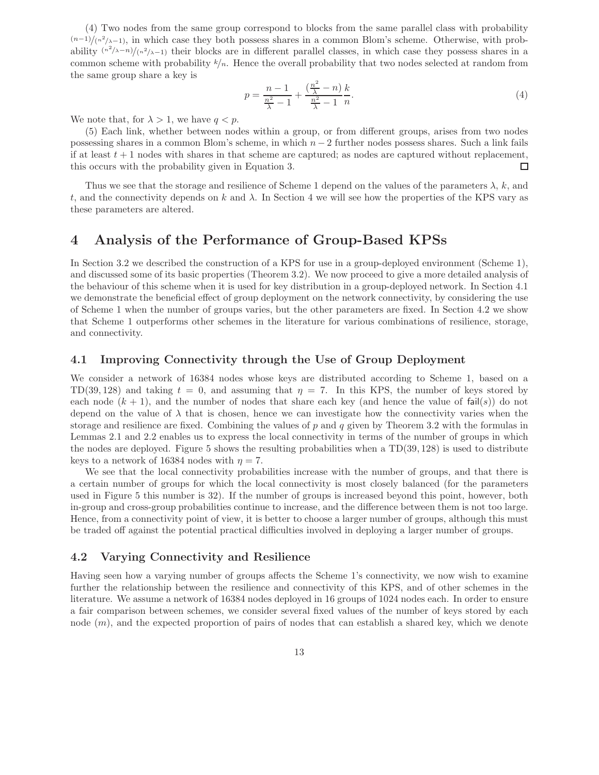(4) Two nodes from the same group correspond to blocks from the same parallel class with probability  $(n-1)/(n^2/\lambda-1)$ , in which case they both possess shares in a common Blom's scheme. Otherwise, with probability  $\frac{n^2(\lambda - n)}{n^2(\lambda - 1)}$  their blocks are in different parallel classes, in which case they possess shares in a common scheme with probability  $k/n$ . Hence the overall probability that two nodes selected at random from the same group share a key is

$$
p = \frac{n-1}{\frac{n^2}{\lambda} - 1} + \frac{\left(\frac{n^2}{\lambda} - n\right)k}{\frac{n^2}{\lambda} - 1} \frac{k}{n}.
$$
\n(4)

We note that, for  $\lambda > 1$ , we have  $q < p$ .

(5) Each link, whether between nodes within a group, or from different groups, arises from two nodes possessing shares in a common Blom's scheme, in which  $n-2$  further nodes possess shares. Such a link fails if at least  $t + 1$  nodes with shares in that scheme are captured; as nodes are captured without replacement, this occurs with the probability given in Equation 3.  $\Box$ 

Thus we see that the storage and resilience of Scheme 1 depend on the values of the parameters  $\lambda$ , k, and t, and the connectivity depends on k and  $\lambda$ . In Section 4 we will see how the properties of the KPS vary as these parameters are altered.

## 4 Analysis of the Performance of Group-Based KPSs

In Section 3.2 we described the construction of a KPS for use in a group-deployed environment (Scheme 1), and discussed some of its basic properties (Theorem 3.2). We now proceed to give a more detailed analysis of the behaviour of this scheme when it is used for key distribution in a group-deployed network. In Section 4.1 we demonstrate the beneficial effect of group deployment on the network connectivity, by considering the use of Scheme 1 when the number of groups varies, but the other parameters are fixed. In Section 4.2 we show that Scheme 1 outperforms other schemes in the literature for various combinations of resilience, storage, and connectivity.

## 4.1 Improving Connectivity through the Use of Group Deployment

We consider a network of 16384 nodes whose keys are distributed according to Scheme 1, based on a TD(39, 128) and taking  $t = 0$ , and assuming that  $\eta = 7$ . In this KPS, the number of keys stored by each node  $(k + 1)$ , and the number of nodes that share each key (and hence the value of fail(s)) do not depend on the value of  $\lambda$  that is chosen, hence we can investigate how the connectivity varies when the storage and resilience are fixed. Combining the values of  $p$  and  $q$  given by Theorem 3.2 with the formulas in Lemmas 2.1 and 2.2 enables us to express the local connectivity in terms of the number of groups in which the nodes are deployed. Figure 5 shows the resulting probabilities when a TD(39, 128) is used to distribute keys to a network of 16384 nodes with  $\eta = 7$ .

We see that the local connectivity probabilities increase with the number of groups, and that there is a certain number of groups for which the local connectivity is most closely balanced (for the parameters used in Figure 5 this number is 32). If the number of groups is increased beyond this point, however, both in-group and cross-group probabilities continue to increase, and the difference between them is not too large. Hence, from a connectivity point of view, it is better to choose a larger number of groups, although this must be traded off against the potential practical difficulties involved in deploying a larger number of groups.

## 4.2 Varying Connectivity and Resilience

Having seen how a varying number of groups affects the Scheme 1's connectivity, we now wish to examine further the relationship between the resilience and connectivity of this KPS, and of other schemes in the literature. We assume a network of 16384 nodes deployed in 16 groups of 1024 nodes each. In order to ensure a fair comparison between schemes, we consider several fixed values of the number of keys stored by each node  $(m)$ , and the expected proportion of pairs of nodes that can establish a shared key, which we denote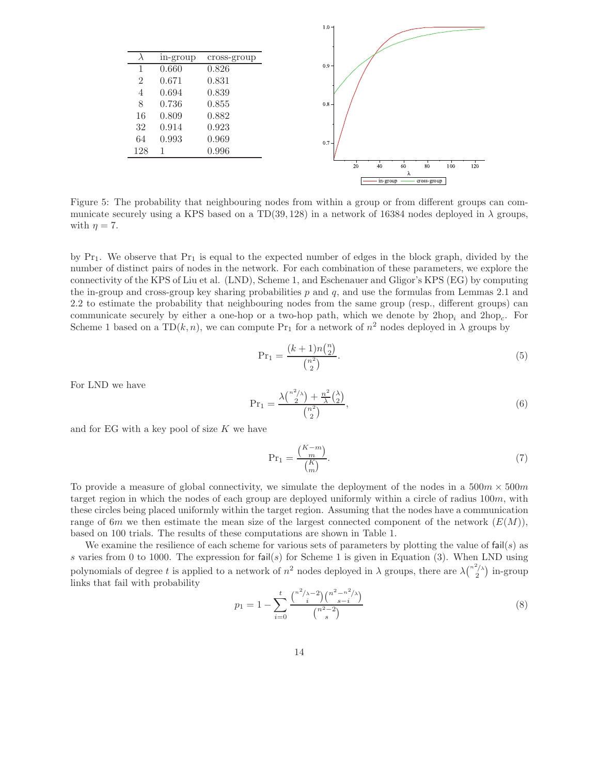

Figure 5: The probability that neighbouring nodes from within a group or from different groups can communicate securely using a KPS based on a TD(39, 128) in a network of 16384 nodes deployed in  $\lambda$  groups, with  $\eta = 7$ .

by Pr<sub>1</sub>. We observe that Pr<sub>1</sub> is equal to the expected number of edges in the block graph, divided by the number of distinct pairs of nodes in the network. For each combination of these parameters, we explore the connectivity of the KPS of Liu et al. (LND), Scheme 1, and Eschenauer and Gligor's KPS (EG) by computing the in-group and cross-group key sharing probabilities  $p$  and  $q$ , and use the formulas from Lemmas 2.1 and 2.2 to estimate the probability that neighbouring nodes from the same group (resp., different groups) can communicate securely by either a one-hop or a two-hop path, which we denote by  $2\text{hop}_i$  and  $2\text{hop}_c$ . For Scheme 1 based on a TD $(k, n)$ , we can compute Pr<sub>1</sub> for a network of  $n^2$  nodes deployed in  $\lambda$  groups by

$$
Pr_1 = \frac{(k+1)n\binom{n}{2}}{\binom{n^2}{2}}.\tag{5}
$$

For LND we have

$$
Pr_1 = \frac{\lambda {n^2 \choose 2} + \frac{n^2}{\lambda} { \lambda \choose 2}}{{n^2 \choose 2}},
$$
\n
$$
(6)
$$

and for EG with a key pool of size  $K$  we have

$$
\Pr_1 = \frac{\binom{K-m}{m}}{\binom{K}{m}}.\tag{7}
$$

To provide a measure of global connectivity, we simulate the deployment of the nodes in a  $500m \times 500m$ target region in which the nodes of each group are deployed uniformly within a circle of radius 100m, with these circles being placed uniformly within the target region. Assuming that the nodes have a communication range of 6m we then estimate the mean size of the largest connected component of the network  $(E(M))$ , based on 100 trials. The results of these computations are shown in Table 1.

We examine the resilience of each scheme for various sets of parameters by plotting the value of  $\text{fail}(s)$  as s varies from 0 to 1000. The expression for fail(s) for Scheme 1 is given in Equation (3). When LND using polynomials of degree t is applied to a network of  $n^2$  nodes deployed in  $\lambda$  groups, there are  $\lambda\binom{n^2}{2}$  in-group links that fail with probability

$$
p_1 = 1 - \sum_{i=0}^{t} \frac{\binom{n^2/\lambda - 2}{i} \binom{n^2 - n^2/\lambda}{s - i}}{\binom{n^2 - 2}{s}}
$$
(8)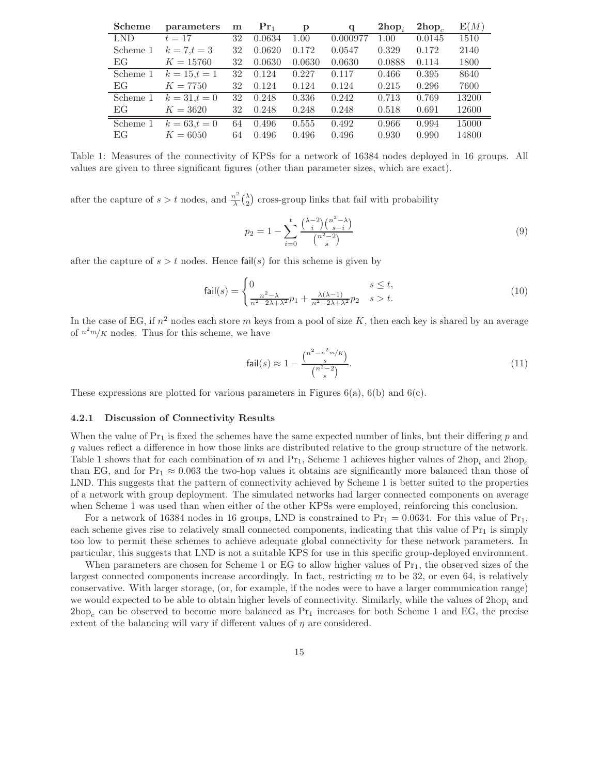| Scheme     | parameters           | m  | $Pr_1$ | p      | q        | $2hop_i$ | $2hop_c$ | $\mathbf{E}(M)$ |
|------------|----------------------|----|--------|--------|----------|----------|----------|-----------------|
| <b>LND</b> | $t=17$               | 32 | 0.0634 | 1.00   | 0.000977 | 1.00     | 0.0145   | 1510            |
| Scheme 1   | $k = 7, t = 3$       | 32 | 0.0620 | 0.172  | 0.0547   | 0.329    | 0.172    | 2140            |
| EG         | $K = 15760$          | 32 | 0.0630 | 0.0630 | 0.0630   | 0.0888   | 0.114    | 1800            |
| Scheme 1   | $k = 15, t = 1$      | 32 | 0.124  | 0.227  | 0.117    | 0.466    | 0.395    | 8640            |
| EG         | $K = 7750$           | 32 | 0.124  | 0.124  | 0.124    | 0.215    | 0.296    | 7600            |
| Scheme 1   | $k = 31 \cdot t = 0$ | 32 | 0.248  | 0.336  | 0.242    | 0.713    | 0.769    | 13200           |
| EG         | $K = 3620$           | 32 | 0.248  | 0.248  | 0.248    | 0.518    | 0.691    | 12600           |
| Scheme 1   | $k = 63, t = 0$      | 64 | 0.496  | 0.555  | 0.492    | 0.966    | 0.994    | 15000           |
| EG         | $K = 6050$           | 64 | 0.496  | 0.496  | 0.496    | 0.930    | 0.990    | 14800           |

Table 1: Measures of the connectivity of KPSs for a network of 16384 nodes deployed in 16 groups. All values are given to three significant figures (other than parameter sizes, which are exact).

after the capture of  $s > t$  nodes, and  $\frac{n^2}{\lambda}$  $\frac{\lambda^2}{\lambda}$  ( $\frac{\lambda}{2}$ ) cross-group links that fail with probability

$$
p_2 = 1 - \sum_{i=0}^{t} \frac{\binom{\lambda - 2}{i} \binom{n^2 - \lambda}{s - i}}{\binom{n^2 - 2}{s}}
$$
(9)

after the capture of  $s > t$  nodes. Hence fail(s) for this scheme is given by

$$
\text{fail}(s) = \begin{cases} 0 & s \le t, \\ \frac{n^2 - \lambda}{n^2 - 2\lambda + \lambda^2} p_1 + \frac{\lambda(\lambda - 1)}{n^2 - 2\lambda + \lambda^2} p_2 & s > t. \end{cases} \tag{10}
$$

In the case of EG, if  $n^2$  nodes each store m keys from a pool of size K, then each key is shared by an average of  $n^2m/K$  nodes. Thus for this scheme, we have

$$
\text{fail}(s) \approx 1 - \frac{\binom{n^2 - n^2 m}{s}}{\binom{n^2 - 2}{s}}.\tag{11}
$$

These expressions are plotted for various parameters in Figures  $6(a)$ ,  $6(b)$  and  $6(c)$ .

#### 4.2.1 Discussion of Connectivity Results

When the value of  $Pr_1$  is fixed the schemes have the same expected number of links, but their differing p and q values reflect a difference in how those links are distributed relative to the group structure of the network. Table 1 shows that for each combination of m and  $Pr_1$ , Scheme 1 achieves higher values of 2hop<sub>i</sub> and 2hop<sub>i</sub> than EG, and for  $Pr_1 \approx 0.063$  the two-hop values it obtains are significantly more balanced than those of LND. This suggests that the pattern of connectivity achieved by Scheme 1 is better suited to the properties of a network with group deployment. The simulated networks had larger connected components on average when Scheme 1 was used than when either of the other KPSs were employed, reinforcing this conclusion.

For a network of 16384 nodes in 16 groups, LND is constrained to  $Pr_1 = 0.0634$ . For this value of  $Pr_1$ , each scheme gives rise to relatively small connected components, indicating that this value of  $Pr_1$  is simply too low to permit these schemes to achieve adequate global connectivity for these network parameters. In particular, this suggests that LND is not a suitable KPS for use in this specific group-deployed environment.

When parameters are chosen for Scheme 1 or EG to allow higher values of  $Pr_1$ , the observed sizes of the largest connected components increase accordingly. In fact, restricting  $m$  to be 32, or even 64, is relatively conservative. With larger storage, (or, for example, if the nodes were to have a larger communication range) we would expected to be able to obtain higher levels of connectivity. Similarly, while the values of 2hop<sub>i</sub> and  $2\text{hop}_c$  can be observed to become more balanced as  $\text{Pr}_1$  increases for both Scheme 1 and EG, the precise extent of the balancing will vary if different values of  $\eta$  are considered.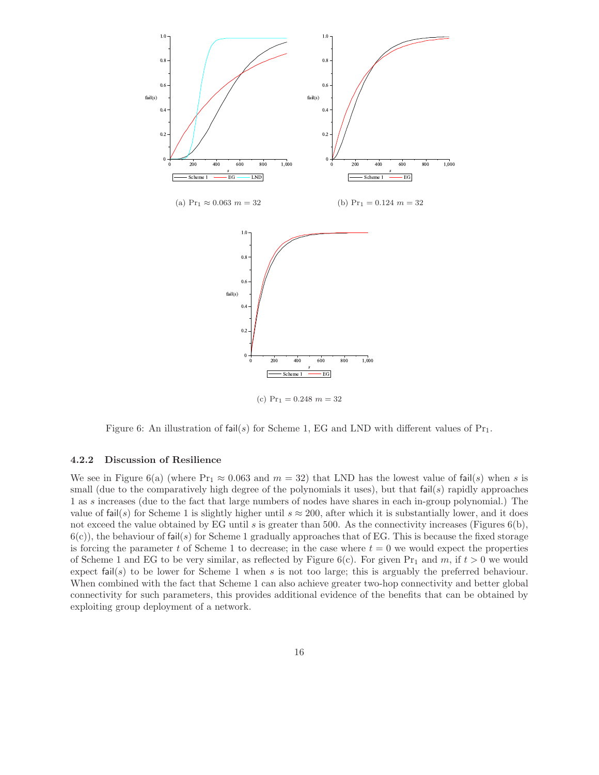

Figure 6: An illustration of fail(s) for Scheme 1, EG and LND with different values of  $Pr_1$ .

### 4.2.2 Discussion of Resilience

We see in Figure 6(a) (where  $Pr_1 \approx 0.063$  and  $m = 32$ ) that LND has the lowest value of fail(s) when s is small (due to the comparatively high degree of the polynomials it uses), but that  $\text{fail}(s)$  rapidly approaches 1 as s increases (due to the fact that large numbers of nodes have shares in each in-group polynomial.) The value of fail(s) for Scheme 1 is slightly higher until  $s \approx 200$ , after which it is substantially lower, and it does not exceed the value obtained by EG until s is greater than 500. As the connectivity increases (Figures  $6(b)$ ,  $(6(c))$ , the behaviour of fail(s) for Scheme 1 gradually approaches that of EG. This is because the fixed storage is forcing the parameter t of Scheme 1 to decrease; in the case where  $t = 0$  we would expect the properties of Scheme 1 and EG to be very similar, as reflected by Figure 6(c). For given  $Pr_1$  and m, if  $t > 0$  we would expect  $fail(s)$  to be lower for Scheme 1 when s is not too large; this is arguably the preferred behaviour. When combined with the fact that Scheme 1 can also achieve greater two-hop connectivity and better global connectivity for such parameters, this provides additional evidence of the benefits that can be obtained by exploiting group deployment of a network.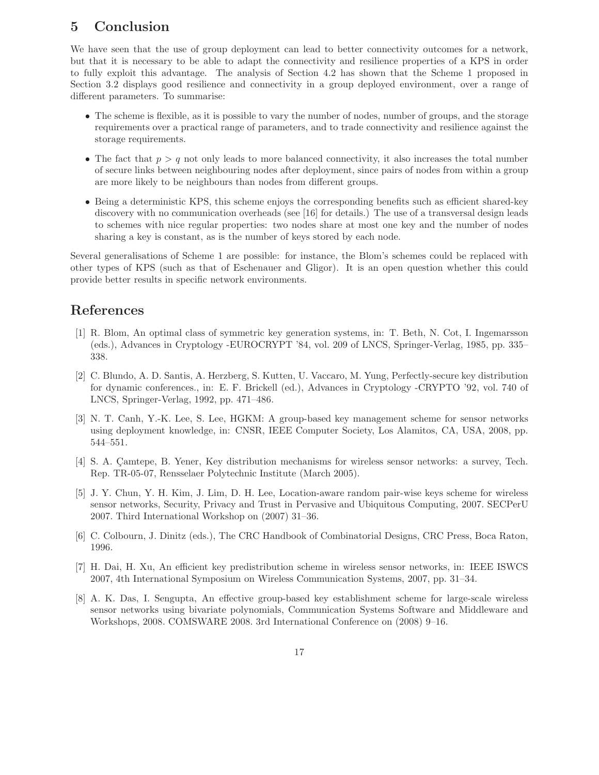## 5 Conclusion

We have seen that the use of group deployment can lead to better connectivity outcomes for a network, but that it is necessary to be able to adapt the connectivity and resilience properties of a KPS in order to fully exploit this advantage. The analysis of Section 4.2 has shown that the Scheme 1 proposed in Section 3.2 displays good resilience and connectivity in a group deployed environment, over a range of different parameters. To summarise:

- The scheme is flexible, as it is possible to vary the number of nodes, number of groups, and the storage requirements over a practical range of parameters, and to trade connectivity and resilience against the storage requirements.
- The fact that  $p > q$  not only leads to more balanced connectivity, it also increases the total number of secure links between neighbouring nodes after deployment, since pairs of nodes from within a group are more likely to be neighbours than nodes from different groups.
- Being a deterministic KPS, this scheme enjoys the corresponding benefits such as efficient shared-key discovery with no communication overheads (see [16] for details.) The use of a transversal design leads to schemes with nice regular properties: two nodes share at most one key and the number of nodes sharing a key is constant, as is the number of keys stored by each node.

Several generalisations of Scheme 1 are possible: for instance, the Blom's schemes could be replaced with other types of KPS (such as that of Eschenauer and Gligor). It is an open question whether this could provide better results in specific network environments.

## References

- [1] R. Blom, An optimal class of symmetric key generation systems, in: T. Beth, N. Cot, I. Ingemarsson (eds.), Advances in Cryptology -EUROCRYPT '84, vol. 209 of LNCS, Springer-Verlag, 1985, pp. 335– 338.
- [2] C. Blundo, A. D. Santis, A. Herzberg, S. Kutten, U. Vaccaro, M. Yung, Perfectly-secure key distribution for dynamic conferences., in: E. F. Brickell (ed.), Advances in Cryptology -CRYPTO '92, vol. 740 of LNCS, Springer-Verlag, 1992, pp. 471–486.
- [3] N. T. Canh, Y.-K. Lee, S. Lee, HGKM: A group-based key management scheme for sensor networks using deployment knowledge, in: CNSR, IEEE Computer Society, Los Alamitos, CA, USA, 2008, pp. 544–551.
- [4] S. A. Camtepe, B. Yener, Key distribution mechanisms for wireless sensor networks: a survey, Tech. Rep. TR-05-07, Rensselaer Polytechnic Institute (March 2005).
- [5] J. Y. Chun, Y. H. Kim, J. Lim, D. H. Lee, Location-aware random pair-wise keys scheme for wireless sensor networks, Security, Privacy and Trust in Pervasive and Ubiquitous Computing, 2007. SECPerU 2007. Third International Workshop on (2007) 31–36.
- [6] C. Colbourn, J. Dinitz (eds.), The CRC Handbook of Combinatorial Designs, CRC Press, Boca Raton, 1996.
- [7] H. Dai, H. Xu, An efficient key predistribution scheme in wireless sensor networks, in: IEEE ISWCS 2007, 4th International Symposium on Wireless Communication Systems, 2007, pp. 31–34.
- [8] A. K. Das, I. Sengupta, An effective group-based key establishment scheme for large-scale wireless sensor networks using bivariate polynomials, Communication Systems Software and Middleware and Workshops, 2008. COMSWARE 2008. 3rd International Conference on (2008) 9–16.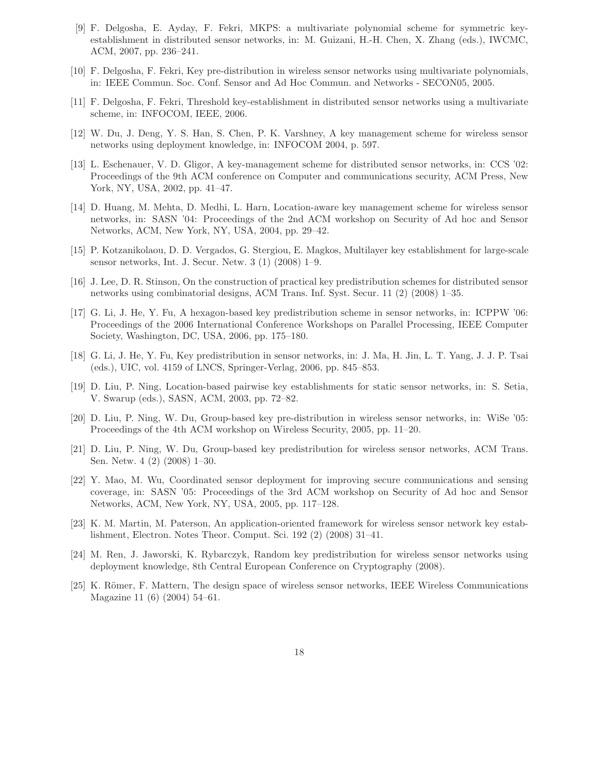- [9] F. Delgosha, E. Ayday, F. Fekri, MKPS: a multivariate polynomial scheme for symmetric keyestablishment in distributed sensor networks, in: M. Guizani, H.-H. Chen, X. Zhang (eds.), IWCMC, ACM, 2007, pp. 236–241.
- [10] F. Delgosha, F. Fekri, Key pre-distribution in wireless sensor networks using multivariate polynomials, in: IEEE Commun. Soc. Conf. Sensor and Ad Hoc Commun. and Networks - SECON05, 2005.
- [11] F. Delgosha, F. Fekri, Threshold key-establishment in distributed sensor networks using a multivariate scheme, in: INFOCOM, IEEE, 2006.
- [12] W. Du, J. Deng, Y. S. Han, S. Chen, P. K. Varshney, A key management scheme for wireless sensor networks using deployment knowledge, in: INFOCOM 2004, p. 597.
- [13] L. Eschenauer, V. D. Gligor, A key-management scheme for distributed sensor networks, in: CCS '02: Proceedings of the 9th ACM conference on Computer and communications security, ACM Press, New York, NY, USA, 2002, pp. 41–47.
- [14] D. Huang, M. Mehta, D. Medhi, L. Harn, Location-aware key management scheme for wireless sensor networks, in: SASN '04: Proceedings of the 2nd ACM workshop on Security of Ad hoc and Sensor Networks, ACM, New York, NY, USA, 2004, pp. 29–42.
- [15] P. Kotzanikolaou, D. D. Vergados, G. Stergiou, E. Magkos, Multilayer key establishment for large-scale sensor networks, Int. J. Secur. Netw. 3 (1) (2008) 1–9.
- [16] J. Lee, D. R. Stinson, On the construction of practical key predistribution schemes for distributed sensor networks using combinatorial designs, ACM Trans. Inf. Syst. Secur. 11 (2) (2008) 1–35.
- [17] G. Li, J. He, Y. Fu, A hexagon-based key predistribution scheme in sensor networks, in: ICPPW '06: Proceedings of the 2006 International Conference Workshops on Parallel Processing, IEEE Computer Society, Washington, DC, USA, 2006, pp. 175–180.
- [18] G. Li, J. He, Y. Fu, Key predistribution in sensor networks, in: J. Ma, H. Jin, L. T. Yang, J. J. P. Tsai (eds.), UIC, vol. 4159 of LNCS, Springer-Verlag, 2006, pp. 845–853.
- [19] D. Liu, P. Ning, Location-based pairwise key establishments for static sensor networks, in: S. Setia, V. Swarup (eds.), SASN, ACM, 2003, pp. 72–82.
- [20] D. Liu, P. Ning, W. Du, Group-based key pre-distribution in wireless sensor networks, in: WiSe '05: Proceedings of the 4th ACM workshop on Wireless Security, 2005, pp. 11–20.
- [21] D. Liu, P. Ning, W. Du, Group-based key predistribution for wireless sensor networks, ACM Trans. Sen. Netw. 4 (2) (2008) 1–30.
- [22] Y. Mao, M. Wu, Coordinated sensor deployment for improving secure communications and sensing coverage, in: SASN '05: Proceedings of the 3rd ACM workshop on Security of Ad hoc and Sensor Networks, ACM, New York, NY, USA, 2005, pp. 117–128.
- [23] K. M. Martin, M. Paterson, An application-oriented framework for wireless sensor network key establishment, Electron. Notes Theor. Comput. Sci. 192 (2) (2008) 31–41.
- [24] M. Ren, J. Jaworski, K. Rybarczyk, Random key predistribution for wireless sensor networks using deployment knowledge, 8th Central European Conference on Cryptography (2008).
- [25] K. Römer, F. Mattern, The design space of wireless sensor networks, IEEE Wireless Communications Magazine 11 (6) (2004) 54–61.